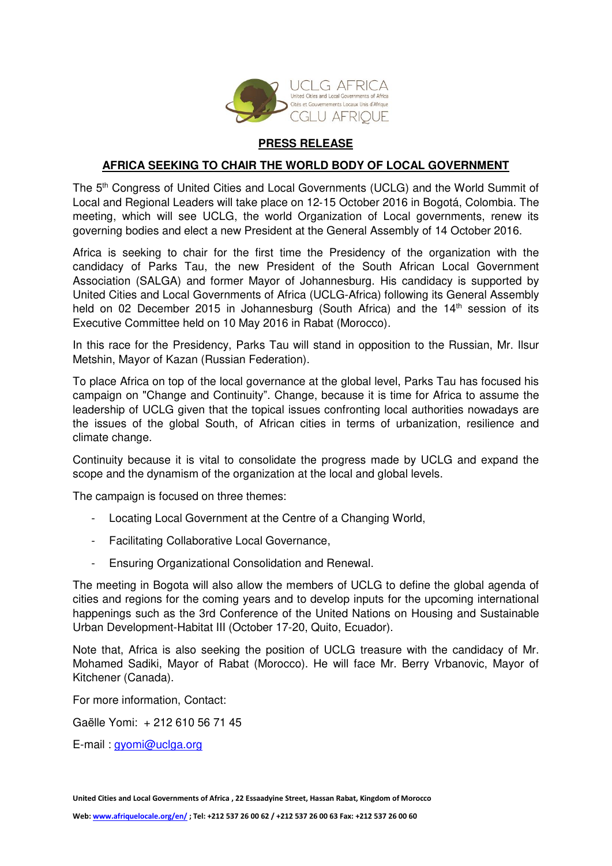

## **PRESS RELEASE**

## **AFRICA SEEKING TO CHAIR THE WORLD BODY OF LOCAL GOVERNMENT**

The 5th Congress of United Cities and Local Governments (UCLG) and the World Summit of Local and Regional Leaders will take place on 12‑15 October 2016 in Bogotá, Colombia. The meeting, which will see UCLG, the world Organization of Local governments, renew its governing bodies and elect a new President at the General Assembly of 14 October 2016.

Africa is seeking to chair for the first time the Presidency of the organization with the candidacy of Parks Tau, the new President of the South African Local Government Association (SALGA) and former Mayor of Johannesburg. His candidacy is supported by United Cities and Local Governments of Africa (UCLG-Africa) following its General Assembly held on 02 December 2015 in Johannesburg (South Africa) and the 14<sup>th</sup> session of its Executive Committee held on 10 May 2016 in Rabat (Morocco).

In this race for the Presidency, Parks Tau will stand in opposition to the Russian, Mr. Ilsur Metshin, Mayor of Kazan (Russian Federation).

To place Africa on top of the local governance at the global level, Parks Tau has focused his campaign on "Change and Continuity". Change, because it is time for Africa to assume the leadership of UCLG given that the topical issues confronting local authorities nowadays are the issues of the global South, of African cities in terms of urbanization, resilience and climate change.

Continuity because it is vital to consolidate the progress made by UCLG and expand the scope and the dynamism of the organization at the local and global levels.

The campaign is focused on three themes:

- Locating Local Government at the Centre of a Changing World,
- Facilitating Collaborative Local Governance,
- Ensuring Organizational Consolidation and Renewal.

The meeting in Bogota will also allow the members of UCLG to define the global agenda of cities and regions for the coming years and to develop inputs for the upcoming international happenings such as the 3rd Conference of the United Nations on Housing and Sustainable Urban Development-Habitat III (October 17-20, Quito, Ecuador).

Note that, Africa is also seeking the position of UCLG treasure with the candidacy of Mr. Mohamed Sadiki, Mayor of Rabat (Morocco). He will face Mr. Berry Vrbanovic, Mayor of Kitchener (Canada).

For more information, Contact:

Gaëlle Yomi: + 212 610 56 71 45

E-mail : [gyomi@uclga.org](mailto:gyomi@uclga.org)